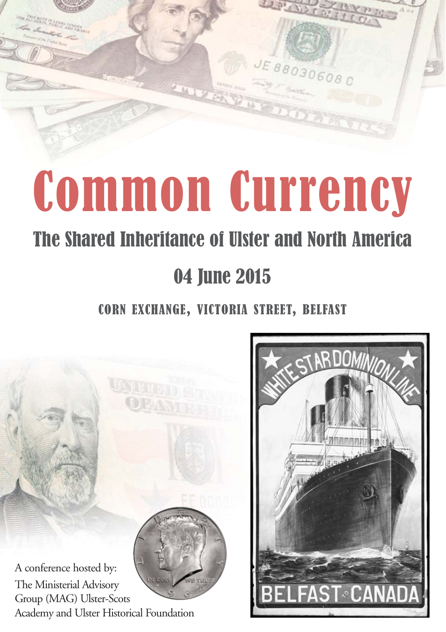

# Common Currency

### The Shared Inheritance of Ulster and North America

## 04 June 2015

CORN EXCHANGE, VICTORIA STREET, BELFAST



A conference hosted by: The Ministerial Advisory Group (MAG) Ulster-Scots Academy and Ulster Historical Foundation

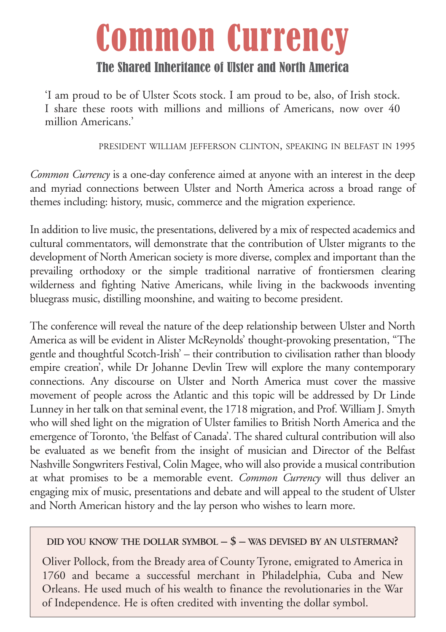# Common Currency

#### The Shared Inheritance of Ulster and North America

'I am proud to be of Ulster Scots stock. I am proud to be, also, of Irish stock. I share these roots with millions and millions of Americans, now over 40 million Americans.'

PRESIDENT WILLIAM JEFFERSON CLINTON, SPEAKING IN BELFAST IN 1995

*Common Currency* is a one-day conference aimed at anyone with an interest in the deep and myriad connections between Ulster and North America across a broad range of themes including: history, music, commerce and the migration experience.

In addition to live music, the presentations, delivered by a mix of respected academics and cultural commentators, will demonstrate that the contribution of Ulster migrants to the development of North American society is more diverse, complex and important than the prevailing orthodoxy or the simple traditional narrative of frontiersmen clearing wilderness and fighting Native Americans, while living in the backwoods inventing bluegrass music, distilling moonshine, and waiting to become president.

The conference will reveal the nature of the deep relationship between Ulster and North America as will be evident in Alister McReynolds' thought-provoking presentation, ''The gentle and thoughtful Scotch-Irish' – their contribution to civilisation rather than bloody empire creation', while Dr Johanne Devlin Trew will explore the many contemporary connections. Any discourse on Ulster and North America must cover the massive movement of people across the Atlantic and this topic will be addressed by Dr Linde Lunney in her talk on that seminal event, the 1718 migration, and Prof. William J. Smyth who will shed light on the migration of Ulster families to British North America and the emergence of Toronto, 'the Belfast of Canada'. The shared cultural contribution will also be evaluated as we benefit from the insight of musician and Director of the Belfast Nashville Songwriters Festival, Colin Magee, who will also provide a musical contribution at what promises to be a memorable event. *Common Currency* will thus deliver an engaging mix of music, presentations and debate and will appeal to the student of Ulster and North American history and the lay person who wishes to learn more.

#### **DID YOU KNOW THE DOLLAR SYMBOL – \$ – WAS DEVISED BY AN ULSTERMAN?**

Oliver Pollock, from the Bready area of County Tyrone, emigrated to America in 1760 and became a successful merchant in Philadelphia, Cuba and New Orleans. He used much of his wealth to finance the revolutionaries in the War of Independence. He is often credited with inventing the dollar symbol.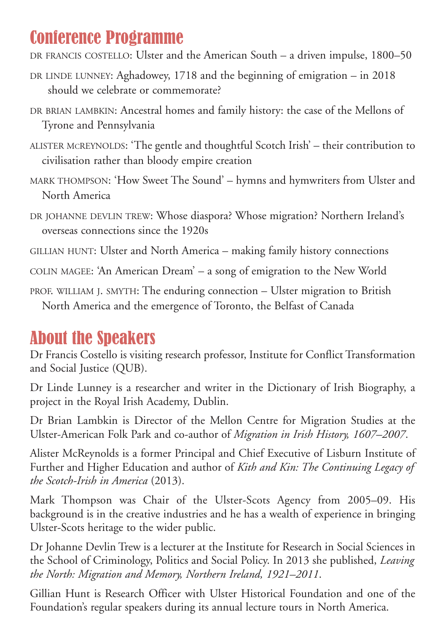#### Conference Programme

DR FRANCIS COSTELLO: Ulster and the American South – a driven impulse, 1800–50

- DR LINDE LUNNEY: Aghadowey, 1718 and the beginning of emigration in 2018 should we celebrate or commemorate?
- DR BRIAN LAMBKIN: Ancestral homes and family history: the case of the Mellons of Tyrone and Pennsylvania
- ALISTER MCREYNOLDS: 'The gentle and thoughtful Scotch Irish' their contribution to civilisation rather than bloody empire creation
- MARK THOMPSON: 'How Sweet The Sound' hymns and hymwriters from Ulster and North America
- DR JOHANNE DEVLIN TREW: Whose diaspora? Whose migration? Northern Ireland's overseas connections since the 1920s
- GILLIAN HUNT: Ulster and North America making family history connections
- COLIN MAGEE: 'An American Dream' a song of emigration to the New World
- PROF. WILLIAM J. SMYTH: The enduring connection Ulster migration to British North America and the emergence of Toronto, the Belfast of Canada

#### About the Speakers

Dr Francis Costello is visiting research professor, Institute for Conflict Transformation and Social Justice (QUB).

Dr Linde Lunney is a researcher and writer in the Dictionary of Irish Biography, a project in the Royal Irish Academy, Dublin.

Dr Brian Lambkin is Director of the Mellon Centre for Migration Studies at the Ulster-American Folk Park and co-author of *Migration in Irish History, 1607–2007*.

Alister McReynolds is a former Principal and Chief Executive of Lisburn Institute of Further and Higher Education and author of *Kith and Kin: The Continuing Legacy of the Scotch-Irish in America* (2013).

Mark Thompson was Chair of the Ulster-Scots Agency from 2005–09. His background is in the creative industries and he has a wealth of experience in bringing Ulster-Scots heritage to the wider public.

Dr Johanne Devlin Trew is a lecturer at the Institute for Research in Social Sciences in the School of Criminology, Politics and Social Policy. In 2013 she published, *Leaving the North: Migration and Memory, Northern Ireland, 1921–2011*.

Gillian Hunt is Research Officer with Ulster Historical Foundation and one of the Foundation's regular speakers during its annual lecture tours in North America.